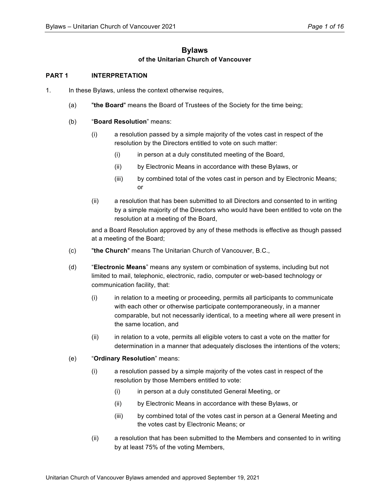# **Bylaws of the Unitarian Church of Vancouver**

## **PART 1 INTERPRETATION**

- 1. In these Bylaws, unless the context otherwise requires,
	- (a) "**the Board**" means the Board of Trustees of the Society for the time being;
	- (b) "**Board Resolution**" means:
		- (i) a resolution passed by a simple majority of the votes cast in respect of the resolution by the Directors entitled to vote on such matter:
			- (i) in person at a duly constituted meeting of the Board,
			- (ii) by Electronic Means in accordance with these Bylaws, or
			- (iii) by combined total of the votes cast in person and by Electronic Means; or
		- (ii) a resolution that has been submitted to all Directors and consented to in writing by a simple majority of the Directors who would have been entitled to vote on the resolution at a meeting of the Board,

and a Board Resolution approved by any of these methods is effective as though passed at a meeting of the Board;

- (c) "**the Church**" means The Unitarian Church of Vancouver, B.C.,
- (d) "**Electronic Means**" means any system or combination of systems, including but not limited to mail, telephonic, electronic, radio, computer or web-based technology or communication facility, that:
	- (i) in relation to a meeting or proceeding, permits all participants to communicate with each other or otherwise participate contemporaneously, in a manner comparable, but not necessarily identical, to a meeting where all were present in the same location, and
	- (ii) in relation to a vote, permits all eligible voters to cast a vote on the matter for determination in a manner that adequately discloses the intentions of the voters;
- (e) "**Ordinary Resolution**" means:
	- (i) a resolution passed by a simple majority of the votes cast in respect of the resolution by those Members entitled to vote:
		- (i) in person at a duly constituted General Meeting, or
		- (ii) by Electronic Means in accordance with these Bylaws, or
		- (iii) by combined total of the votes cast in person at a General Meeting and the votes cast by Electronic Means; or
	- (ii) a resolution that has been submitted to the Members and consented to in writing by at least 75% of the voting Members,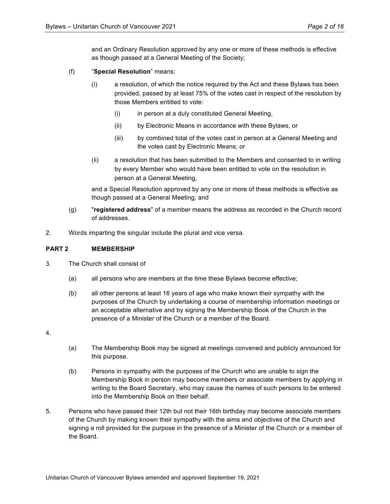and an Ordinary Resolution approved by any one or more of these methods is effective as though passed at a General Meeting of the Society;

- (f) "**Special Resolution**" means:
	- (i) a resolution, of which the notice required by the Act and these Bylaws has been provided, passed by at least 75% of the votes cast in respect of the resolution by those Members entitled to vote:
		- (i) in person at a duly constituted General Meeting,
		- (ii) by Electronic Means in accordance with these Bylaws, or
		- (iii) by combined total of the votes cast in person at a General Meeting and the votes cast by Electronic Means; or
	- (ii) a resolution that has been submitted to the Members and consented to in writing by every Member who would have been entitled to vote on the resolution in person at a General Meeting,

and a Special Resolution approved by any one or more of these methods is effective as though passed at a General Meeting; and

- (g) "**registered address**" of a member means the address as recorded in the Church record of addresses.
- 2. Words imparting the singular include the plural and vice versa.

## **PART 2 MEMBERSHIP**

- 3. The Church shall consist of
	- (a) all persons who are members at the time these Bylaws become effective;
	- (b) all other persons at least 16 years of age who make known their sympathy with the purposes of the Church by undertaking a course of membership information meetings or an acceptable alternative and by signing the Membership Book of the Church in the presence of a Minister of the Church or a member of the Board.
- 4.
- (a) The Membership Book may be signed at meetings convened and publicly announced for this purpose.
- (b) Persons in sympathy with the purposes of the Church who are unable to sign the Membership Book in person may become members or associate members by applying in writing to the Board Secretary, who may cause the names of such persons to be entered into the Membership Book on their behalf.
- 5. Persons who have passed their 12th but not their 16th birthday may become associate members of the Church by making known their sympathy with the aims and objectives of the Church and signing a roll provided for the purpose in the presence of a Minister of the Church or a member of the Board.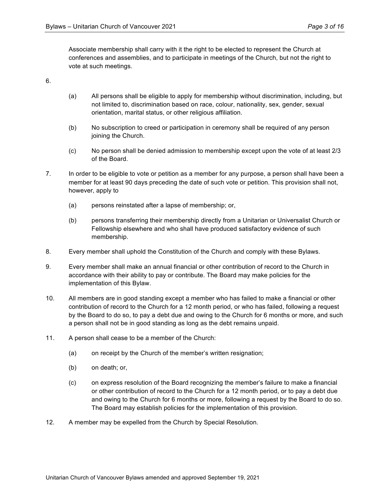Associate membership shall carry with it the right to be elected to represent the Church at conferences and assemblies, and to participate in meetings of the Church, but not the right to vote at such meetings.

6.

- (a) All persons shall be eligible to apply for membership without discrimination, including, but not limited to, discrimination based on race, colour, nationality, sex, gender, sexual orientation, marital status, or other religious affiliation.
- (b) No subscription to creed or participation in ceremony shall be required of any person joining the Church.
- (c) No person shall be denied admission to membership except upon the vote of at least 2/3 of the Board.
- 7. In order to be eligible to vote or petition as a member for any purpose, a person shall have been a member for at least 90 days preceding the date of such vote or petition. This provision shall not, however, apply to
	- (a) persons reinstated after a lapse of membership; or,
	- (b) persons transferring their membership directly from a Unitarian or Universalist Church or Fellowship elsewhere and who shall have produced satisfactory evidence of such membership.
- 8. Every member shall uphold the Constitution of the Church and comply with these Bylaws.
- 9. Every member shall make an annual financial or other contribution of record to the Church in accordance with their ability to pay or contribute. The Board may make policies for the implementation of this Bylaw.
- 10. All members are in good standing except a member who has failed to make a financial or other contribution of record to the Church for a 12 month period, or who has failed, following a request by the Board to do so, to pay a debt due and owing to the Church for 6 months or more, and such a person shall not be in good standing as long as the debt remains unpaid.
- 11. A person shall cease to be a member of the Church:
	- (a) on receipt by the Church of the member's written resignation;
	- (b) on death; or,
	- (c) on express resolution of the Board recognizing the member's failure to make a financial or other contribution of record to the Church for a 12 month period, or to pay a debt due and owing to the Church for 6 months or more, following a request by the Board to do so. The Board may establish policies for the implementation of this provision.
- 12. A member may be expelled from the Church by Special Resolution.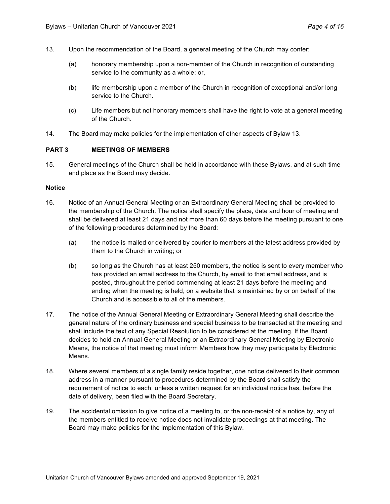- 13. Upon the recommendation of the Board, a general meeting of the Church may confer:
	- (a) honorary membership upon a non-member of the Church in recognition of outstanding service to the community as a whole; or,
	- (b) life membership upon a member of the Church in recognition of exceptional and/or long service to the Church.
	- (c) Life members but not honorary members shall have the right to vote at a general meeting of the Church.
- 14. The Board may make policies for the implementation of other aspects of Bylaw 13.

#### **PART 3 MEETINGS OF MEMBERS**

15. General meetings of the Church shall be held in accordance with these Bylaws, and at such time and place as the Board may decide.

#### **Notice**

- 16. Notice of an Annual General Meeting or an Extraordinary General Meeting shall be provided to the membership of the Church. The notice shall specify the place, date and hour of meeting and shall be delivered at least 21 days and not more than 60 days before the meeting pursuant to one of the following procedures determined by the Board:
	- (a) the notice is mailed or delivered by courier to members at the latest address provided by them to the Church in writing; or
	- (b) so long as the Church has at least 250 members, the notice is sent to every member who has provided an email address to the Church, by email to that email address, and is posted, throughout the period commencing at least 21 days before the meeting and ending when the meeting is held, on a website that is maintained by or on behalf of the Church and is accessible to all of the members.
- 17. The notice of the Annual General Meeting or Extraordinary General Meeting shall describe the general nature of the ordinary business and special business to be transacted at the meeting and shall include the text of any Special Resolution to be considered at the meeting. If the Board decides to hold an Annual General Meeting or an Extraordinary General Meeting by Electronic Means, the notice of that meeting must inform Members how they may participate by Electronic Means.
- 18. Where several members of a single family reside together, one notice delivered to their common address in a manner pursuant to procedures determined by the Board shall satisfy the requirement of notice to each, unless a written request for an individual notice has, before the date of delivery, been filed with the Board Secretary.
- 19. The accidental omission to give notice of a meeting to, or the non-receipt of a notice by, any of the members entitled to receive notice does not invalidate proceedings at that meeting. The Board may make policies for the implementation of this Bylaw.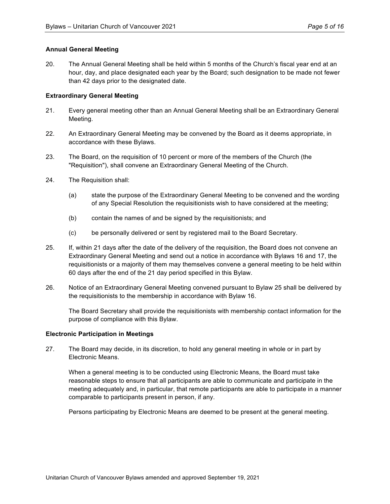### **Annual General Meeting**

20. The Annual General Meeting shall be held within 5 months of the Church's fiscal year end at an hour, day, and place designated each year by the Board; such designation to be made not fewer than 42 days prior to the designated date.

### **Extraordinary General Meeting**

- 21. Every general meeting other than an Annual General Meeting shall be an Extraordinary General Meeting.
- 22. An Extraordinary General Meeting may be convened by the Board as it deems appropriate, in accordance with these Bylaws.
- 23. The Board, on the requisition of 10 percent or more of the members of the Church (the "Requisition"), shall convene an Extraordinary General Meeting of the Church.
- 24. The Requisition shall:
	- (a) state the purpose of the Extraordinary General Meeting to be convened and the wording of any Special Resolution the requisitionists wish to have considered at the meeting;
	- (b) contain the names of and be signed by the requisitionists; and
	- (c) be personally delivered or sent by registered mail to the Board Secretary.
- 25. If, within 21 days after the date of the delivery of the requisition, the Board does not convene an Extraordinary General Meeting and send out a notice in accordance with Bylaws 16 and 17, the requisitionists or a majority of them may themselves convene a general meeting to be held within 60 days after the end of the 21 day period specified in this Bylaw.
- 26. Notice of an Extraordinary General Meeting convened pursuant to Bylaw 25 shall be delivered by the requisitionists to the membership in accordance with Bylaw 16.

The Board Secretary shall provide the requisitionists with membership contact information for the purpose of compliance with this Bylaw.

#### **Electronic Participation in Meetings**

27. The Board may decide, in its discretion, to hold any general meeting in whole or in part by Electronic Means.

When a general meeting is to be conducted using Electronic Means, the Board must take reasonable steps to ensure that all participants are able to communicate and participate in the meeting adequately and, in particular, that remote participants are able to participate in a manner comparable to participants present in person, if any.

Persons participating by Electronic Means are deemed to be present at the general meeting.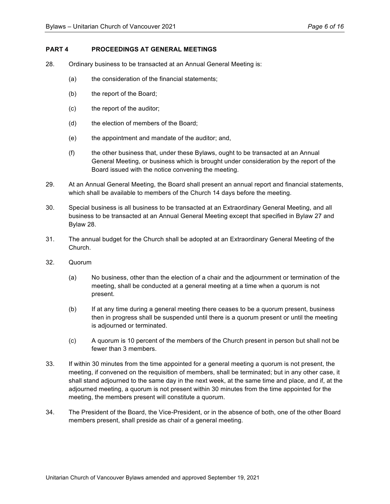## **PART 4 PROCEEDINGS AT GENERAL MEETINGS**

- 28. Ordinary business to be transacted at an Annual General Meeting is:
	- (a) the consideration of the financial statements;
	- (b) the report of the Board;
	- (c) the report of the auditor;
	- (d) the election of members of the Board;
	- (e) the appointment and mandate of the auditor; and,
	- (f) the other business that, under these Bylaws, ought to be transacted at an Annual General Meeting, or business which is brought under consideration by the report of the Board issued with the notice convening the meeting.
- 29. At an Annual General Meeting, the Board shall present an annual report and financial statements, which shall be available to members of the Church 14 days before the meeting.
- 30. Special business is all business to be transacted at an Extraordinary General Meeting, and all business to be transacted at an Annual General Meeting except that specified in Bylaw 27 and Bylaw 28.
- 31. The annual budget for the Church shall be adopted at an Extraordinary General Meeting of the Church.
- 32. Quorum
	- (a) No business, other than the election of a chair and the adjournment or termination of the meeting, shall be conducted at a general meeting at a time when a quorum is not present.
	- (b) If at any time during a general meeting there ceases to be a quorum present, business then in progress shall be suspended until there is a quorum present or until the meeting is adjourned or terminated.
	- (c) A quorum is 10 percent of the members of the Church present in person but shall not be fewer than 3 members.
- 33. If within 30 minutes from the time appointed for a general meeting a quorum is not present, the meeting, if convened on the requisition of members, shall be terminated; but in any other case, it shall stand adjourned to the same day in the next week, at the same time and place, and if, at the adjourned meeting, a quorum is not present within 30 minutes from the time appointed for the meeting, the members present will constitute a quorum.
- 34. The President of the Board, the Vice-President, or in the absence of both, one of the other Board members present, shall preside as chair of a general meeting.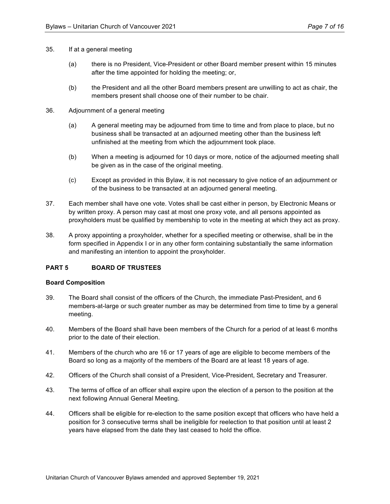- 35. If at a general meeting
	- (a) there is no President, Vice-President or other Board member present within 15 minutes after the time appointed for holding the meeting; or,
	- (b) the President and all the other Board members present are unwilling to act as chair, the members present shall choose one of their number to be chair.
- 36. Adjournment of a general meeting
	- (a) A general meeting may be adjourned from time to time and from place to place, but no business shall be transacted at an adjourned meeting other than the business left unfinished at the meeting from which the adjournment took place.
	- (b) When a meeting is adjourned for 10 days or more, notice of the adjourned meeting shall be given as in the case of the original meeting.
	- (c) Except as provided in this Bylaw, it is not necessary to give notice of an adjournment or of the business to be transacted at an adjourned general meeting.
- 37. Each member shall have one vote. Votes shall be cast either in person, by Electronic Means or by written proxy. A person may cast at most one proxy vote, and all persons appointed as proxyholders must be qualified by membership to vote in the meeting at which they act as proxy.
- 38. A proxy appointing a proxyholder, whether for a specified meeting or otherwise, shall be in the form specified in Appendix I or in any other form containing substantially the same information and manifesting an intention to appoint the proxyholder.

## **PART 5 BOARD OF TRUSTEES**

#### **Board Composition**

- 39. The Board shall consist of the officers of the Church, the immediate Past-President, and 6 members-at-large or such greater number as may be determined from time to time by a general meeting.
- 40. Members of the Board shall have been members of the Church for a period of at least 6 months prior to the date of their election.
- 41. Members of the church who are 16 or 17 years of age are eligible to become members of the Board so long as a majority of the members of the Board are at least 18 years of age.
- 42. Officers of the Church shall consist of a President, Vice-President, Secretary and Treasurer.
- 43. The terms of office of an officer shall expire upon the election of a person to the position at the next following Annual General Meeting.
- 44. Officers shall be eligible for re-election to the same position except that officers who have held a position for 3 consecutive terms shall be ineligible for reelection to that position until at least 2 years have elapsed from the date they last ceased to hold the office.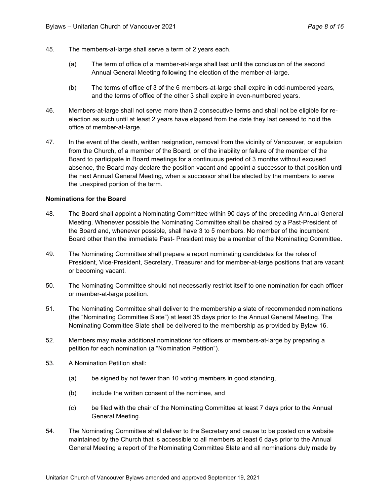- 45. The members-at-large shall serve a term of 2 years each.
	- (a) The term of office of a member-at-large shall last until the conclusion of the second Annual General Meeting following the election of the member-at-large.
	- (b) The terms of office of 3 of the 6 members-at-large shall expire in odd-numbered years, and the terms of office of the other 3 shall expire in even-numbered years.
- 46. Members-at-large shall not serve more than 2 consecutive terms and shall not be eligible for reelection as such until at least 2 years have elapsed from the date they last ceased to hold the office of member-at-large.
- 47. In the event of the death, written resignation, removal from the vicinity of Vancouver, or expulsion from the Church, of a member of the Board, or of the inability or failure of the member of the Board to participate in Board meetings for a continuous period of 3 months without excused absence, the Board may declare the position vacant and appoint a successor to that position until the next Annual General Meeting, when a successor shall be elected by the members to serve the unexpired portion of the term.

## **Nominations for the Board**

- 48. The Board shall appoint a Nominating Committee within 90 days of the preceding Annual General Meeting. Whenever possible the Nominating Committee shall be chaired by a Past-President of the Board and, whenever possible, shall have 3 to 5 members. No member of the incumbent Board other than the immediate Past- President may be a member of the Nominating Committee.
- 49. The Nominating Committee shall prepare a report nominating candidates for the roles of President, Vice-President, Secretary, Treasurer and for member-at-large positions that are vacant or becoming vacant.
- 50. The Nominating Committee should not necessarily restrict itself to one nomination for each officer or member-at-large position.
- 51. The Nominating Committee shall deliver to the membership a slate of recommended nominations (the "Nominating Committee Slate") at least 35 days prior to the Annual General Meeting. The Nominating Committee Slate shall be delivered to the membership as provided by Bylaw 16.
- 52. Members may make additional nominations for officers or members-at-large by preparing a petition for each nomination (a "Nomination Petition").
- 53. A Nomination Petition shall:
	- (a) be signed by not fewer than 10 voting members in good standing,
	- (b) include the written consent of the nominee, and
	- (c) be filed with the chair of the Nominating Committee at least 7 days prior to the Annual General Meeting.
- 54. The Nominating Committee shall deliver to the Secretary and cause to be posted on a website maintained by the Church that is accessible to all members at least 6 days prior to the Annual General Meeting a report of the Nominating Committee Slate and all nominations duly made by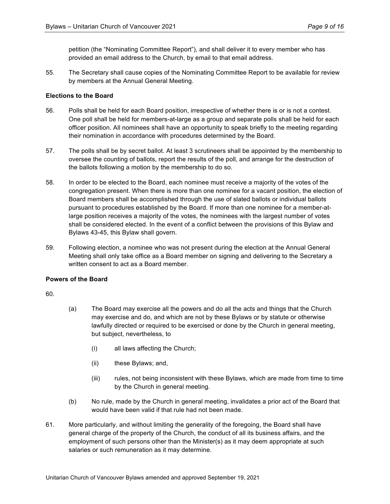petition (the "Nominating Committee Report"), and shall deliver it to every member who has provided an email address to the Church, by email to that email address.

55. The Secretary shall cause copies of the Nominating Committee Report to be available for review by members at the Annual General Meeting.

#### **Elections to the Board**

- 56. Polls shall be held for each Board position, irrespective of whether there is or is not a contest. One poll shall be held for members-at-large as a group and separate polls shall be held for each officer position. All nominees shall have an opportunity to speak briefly to the meeting regarding their nomination in accordance with procedures determined by the Board.
- 57. The polls shall be by secret ballot. At least 3 scrutineers shall be appointed by the membership to oversee the counting of ballots, report the results of the poll, and arrange for the destruction of the ballots following a motion by the membership to do so.
- 58. In order to be elected to the Board, each nominee must receive a majority of the votes of the congregation present. When there is more than one nominee for a vacant position, the election of Board members shall be accomplished through the use of slated ballots or individual ballots pursuant to procedures established by the Board. If more than one nominee for a member-atlarge position receives a majority of the votes, the nominees with the largest number of votes shall be considered elected. In the event of a conflict between the provisions of this Bylaw and Bylaws 43-45, this Bylaw shall govern.
- 59. Following election, a nominee who was not present during the election at the Annual General Meeting shall only take office as a Board member on signing and delivering to the Secretary a written consent to act as a Board member.

#### **Powers of the Board**

60.

- (a) The Board may exercise all the powers and do all the acts and things that the Church may exercise and do, and which are not by these Bylaws or by statute or otherwise lawfully directed or required to be exercised or done by the Church in general meeting, but subject, nevertheless, to
	- (i) all laws affecting the Church;
	- (ii) these Bylaws; and,
	- (iii) rules, not being inconsistent with these Bylaws, which are made from time to time by the Church in general meeting.
- (b) No rule, made by the Church in general meeting, invalidates a prior act of the Board that would have been valid if that rule had not been made.
- 61. More particularly, and without limiting the generality of the foregoing, the Board shall have general charge of the property of the Church, the conduct of all its business affairs, and the employment of such persons other than the Minister(s) as it may deem appropriate at such salaries or such remuneration as it may determine.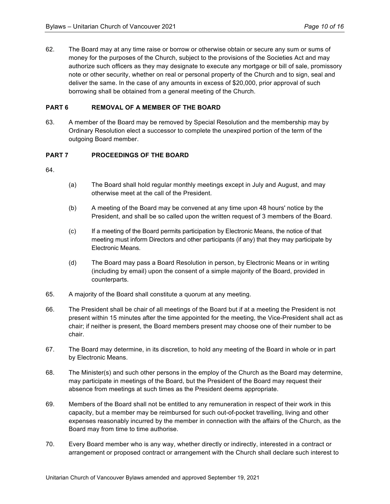62. The Board may at any time raise or borrow or otherwise obtain or secure any sum or sums of money for the purposes of the Church, subject to the provisions of the Societies Act and may authorize such officers as they may designate to execute any mortgage or bill of sale, promissory note or other security, whether on real or personal property of the Church and to sign, seal and deliver the same. In the case of any amounts in excess of \$20,000, prior approval of such borrowing shall be obtained from a general meeting of the Church.

## **PART 6 REMOVAL OF A MEMBER OF THE BOARD**

63. A member of the Board may be removed by Special Resolution and the membership may by Ordinary Resolution elect a successor to complete the unexpired portion of the term of the outgoing Board member.

## **PART 7 PROCEEDINGS OF THE BOARD**

64.

- (a) The Board shall hold regular monthly meetings except in July and August, and may otherwise meet at the call of the President.
- (b) A meeting of the Board may be convened at any time upon 48 hours' notice by the President, and shall be so called upon the written request of 3 members of the Board.
- (c) If a meeting of the Board permits participation by Electronic Means, the notice of that meeting must inform Directors and other participants (if any) that they may participate by Electronic Means.
- (d) The Board may pass a Board Resolution in person, by Electronic Means or in writing (including by email) upon the consent of a simple majority of the Board, provided in counterparts.
- 65. A majority of the Board shall constitute a quorum at any meeting.
- 66. The President shall be chair of all meetings of the Board but if at a meeting the President is not present within 15 minutes after the time appointed for the meeting, the Vice-President shall act as chair; if neither is present, the Board members present may choose one of their number to be chair.
- 67. The Board may determine, in its discretion, to hold any meeting of the Board in whole or in part by Electronic Means.
- 68. The Minister(s) and such other persons in the employ of the Church as the Board may determine, may participate in meetings of the Board, but the President of the Board may request their absence from meetings at such times as the President deems appropriate.
- 69. Members of the Board shall not be entitled to any remuneration in respect of their work in this capacity, but a member may be reimbursed for such out-of-pocket travelling, living and other expenses reasonably incurred by the member in connection with the affairs of the Church, as the Board may from time to time authorise.
- 70. Every Board member who is any way, whether directly or indirectly, interested in a contract or arrangement or proposed contract or arrangement with the Church shall declare such interest to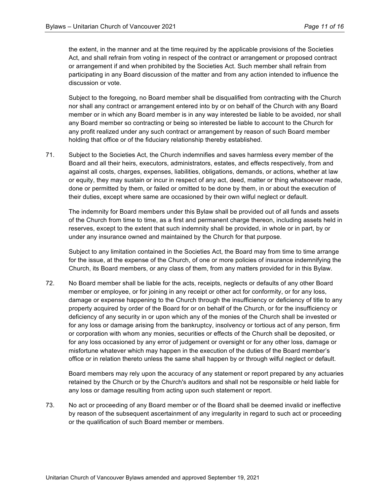the extent, in the manner and at the time required by the applicable provisions of the Societies Act, and shall refrain from voting in respect of the contract or arrangement or proposed contract or arrangement if and when prohibited by the Societies Act. Such member shall refrain from participating in any Board discussion of the matter and from any action intended to influence the discussion or vote.

Subject to the foregoing, no Board member shall be disqualified from contracting with the Church nor shall any contract or arrangement entered into by or on behalf of the Church with any Board member or in which any Board member is in any way interested be liable to be avoided, nor shall any Board member so contracting or being so interested be liable to account to the Church for any profit realized under any such contract or arrangement by reason of such Board member holding that office or of the fiduciary relationship thereby established.

71. Subject to the Societies Act, the Church indemnifies and saves harmless every member of the Board and all their heirs, executors, administrators, estates, and effects respectively, from and against all costs, charges, expenses, liabilities, obligations, demands, or actions, whether at law or equity, they may sustain or incur in respect of any act, deed, matter or thing whatsoever made, done or permitted by them, or failed or omitted to be done by them, in or about the execution of their duties, except where same are occasioned by their own wilful neglect or default.

The indemnity for Board members under this Bylaw shall be provided out of all funds and assets of the Church from time to time, as a first and permanent charge thereon, including assets held in reserves, except to the extent that such indemnity shall be provided, in whole or in part, by or under any insurance owned and maintained by the Church for that purpose.

Subject to any limitation contained in the Societies Act, the Board may from time to time arrange for the issue, at the expense of the Church, of one or more policies of insurance indemnifying the Church, its Board members, or any class of them, from any matters provided for in this Bylaw.

72. No Board member shall be liable for the acts, receipts, neglects or defaults of any other Board member or employee, or for joining in any receipt or other act for conformity, or for any loss, damage or expense happening to the Church through the insufficiency or deficiency of title to any property acquired by order of the Board for or on behalf of the Church, or for the insufficiency or deficiency of any security in or upon which any of the monies of the Church shall be invested or for any loss or damage arising from the bankruptcy, insolvency or tortious act of any person, firm or corporation with whom any monies, securities or effects of the Church shall be deposited, or for any loss occasioned by any error of judgement or oversight or for any other loss, damage or misfortune whatever which may happen in the execution of the duties of the Board member's office or in relation thereto unless the same shall happen by or through wilful neglect or default.

Board members may rely upon the accuracy of any statement or report prepared by any actuaries retained by the Church or by the Church's auditors and shall not be responsible or held liable for any loss or damage resulting from acting upon such statement or report.

73. No act or proceeding of any Board member or of the Board shall be deemed invalid or ineffective by reason of the subsequent ascertainment of any irregularity in regard to such act or proceeding or the qualification of such Board member or members.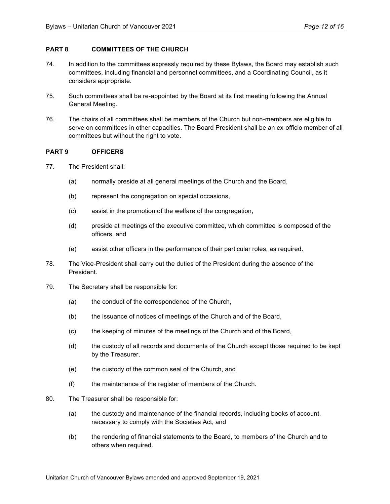## **PART 8 COMMITTEES OF THE CHURCH**

- 74. In addition to the committees expressly required by these Bylaws, the Board may establish such committees, including financial and personnel committees, and a Coordinating Council, as it considers appropriate.
- 75. Such committees shall be re-appointed by the Board at its first meeting following the Annual General Meeting.
- 76. The chairs of all committees shall be members of the Church but non-members are eligible to serve on committees in other capacities. The Board President shall be an ex-officio member of all committees but without the right to vote.

#### **PART 9 OFFICERS**

- 77. The President shall:
	- (a) normally preside at all general meetings of the Church and the Board,
	- (b) represent the congregation on special occasions,
	- (c) assist in the promotion of the welfare of the congregation,
	- (d) preside at meetings of the executive committee, which committee is composed of the officers, and
	- (e) assist other officers in the performance of their particular roles, as required.
- 78. The Vice-President shall carry out the duties of the President during the absence of the President.
- 79. The Secretary shall be responsible for:
	- (a) the conduct of the correspondence of the Church,
	- (b) the issuance of notices of meetings of the Church and of the Board,
	- (c) the keeping of minutes of the meetings of the Church and of the Board,
	- (d) the custody of all records and documents of the Church except those required to be kept by the Treasurer,
	- (e) the custody of the common seal of the Church, and
	- (f) the maintenance of the register of members of the Church.
- 80. The Treasurer shall be responsible for:
	- (a) the custody and maintenance of the financial records, including books of account, necessary to comply with the Societies Act, and
	- (b) the rendering of financial statements to the Board, to members of the Church and to others when required.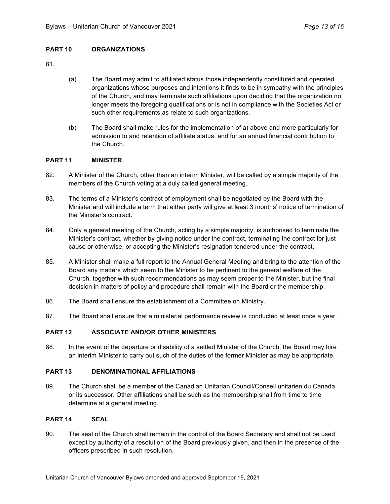## **PART 10 ORGANIZATIONS**

81.

- (a) The Board may admit to affiliated status those independently constituted and operated organizations whose purposes and intentions it finds to be in sympathy with the principles of the Church, and may terminate such affiliations upon deciding that the organization no longer meets the foregoing qualifications or is not in compliance with the Societies Act or such other requirements as relate to such organizations.
- (b) The Board shall make rules for the implementation of a) above and more particularly for admission to and retention of affiliate status, and for an annual financial contribution to the Church.

## **PART 11 MINISTER**

- 82. A Minister of the Church, other than an interim Minister, will be called by a simple majority of the members of the Church voting at a duly called general meeting.
- 83. The terms of a Minister's contract of employment shall be negotiated by the Board with the Minister and will include a term that either party will give at least 3 months' notice of termination of the Minister's contract.
- 84. Only a general meeting of the Church, acting by a simple majority, is authorised to terminate the Minister's contract, whether by giving notice under the contract, terminating the contract for just cause or otherwise, or accepting the Minister's resignation tendered under the contract.
- 85. A Minister shall make a full report to the Annual General Meeting and bring to the attention of the Board any matters which seem to the Minister to be pertinent to the general welfare of the Church, together with such recommendations as may seem proper to the Minister, but the final decision in matters of policy and procedure shall remain with the Board or the membership.
- 86. The Board shall ensure the establishment of a Committee on Ministry.
- 87. The Board shall ensure that a ministerial performance review is conducted at least once a year.

# **PART 12 ASSOCIATE AND/OR OTHER MINISTERS**

88. In the event of the departure or disability of a settled Minister of the Church, the Board may hire an interim Minister to carry out such of the duties of the former Minister as may be appropriate.

### **PART 13 DENOMINATIONAL AFFILIATIONS**

89. The Church shall be a member of the Canadian Unitarian Council/Conseil unitarien du Canada, or its successor. Other affiliations shall be such as the membership shall from time to time determine at a general meeting.

## **PART 14 SEAL**

90. The seal of the Church shall remain in the control of the Board Secretary and shall not be used except by authority of a resolution of the Board previously given, and then in the presence of the officers prescribed in such resolution.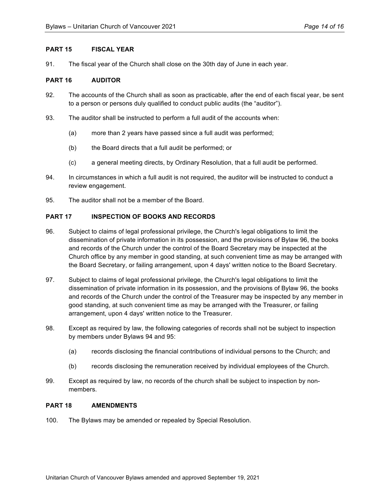### **PART 15 FISCAL YEAR**

91. The fiscal year of the Church shall close on the 30th day of June in each year.

## **PART 16 AUDITOR**

- 92. The accounts of the Church shall as soon as practicable, after the end of each fiscal year, be sent to a person or persons duly qualified to conduct public audits (the "auditor").
- 93. The auditor shall be instructed to perform a full audit of the accounts when:
	- (a) more than 2 years have passed since a full audit was performed;
	- (b) the Board directs that a full audit be performed; or
	- (c) a general meeting directs, by Ordinary Resolution, that a full audit be performed.
- 94. In circumstances in which a full audit is not required, the auditor will be instructed to conduct a review engagement.
- 95. The auditor shall not be a member of the Board.

#### **PART 17 INSPECTION OF BOOKS AND RECORDS**

- 96. Subject to claims of legal professional privilege, the Church's legal obligations to limit the dissemination of private information in its possession, and the provisions of Bylaw 96, the books and records of the Church under the control of the Board Secretary may be inspected at the Church office by any member in good standing, at such convenient time as may be arranged with the Board Secretary, or failing arrangement, upon 4 days' written notice to the Board Secretary.
- 97. Subject to claims of legal professional privilege, the Church's legal obligations to limit the dissemination of private information in its possession, and the provisions of Bylaw 96, the books and records of the Church under the control of the Treasurer may be inspected by any member in good standing, at such convenient time as may be arranged with the Treasurer, or failing arrangement, upon 4 days' written notice to the Treasurer.
- 98. Except as required by law, the following categories of records shall not be subject to inspection by members under Bylaws 94 and 95:
	- (a) records disclosing the financial contributions of individual persons to the Church; and
	- (b) records disclosing the remuneration received by individual employees of the Church.
- 99. Except as required by law, no records of the church shall be subject to inspection by nonmembers.

#### **PART 18 AMENDMENTS**

100. The Bylaws may be amended or repealed by Special Resolution.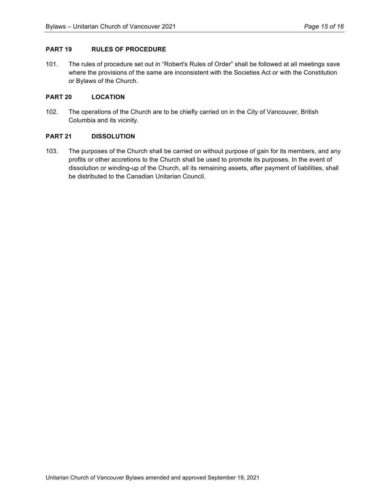## **PART 19 RULES OF PROCEDURE**

101. The rules of procedure set out in "Robert's Rules of Order" shall be followed at all meetings save where the provisions of the same are inconsistent with the Societies Act or with the Constitution or Bylaws of the Church.

## **PART 20 LOCATION**

102. The operations of the Church are to be chiefly carried on in the City of Vancouver, British Columbia and its vicinity.

#### **PART 21 DISSOLUTION**

103. The purposes of the Church shall be carried on without purpose of gain for its members, and any profits or other accretions to the Church shall be used to promote its purposes. In the event of dissolution or winding-up of the Church, all its remaining assets, after payment of liabilities, shall be distributed to the Canadian Unitarian Council.